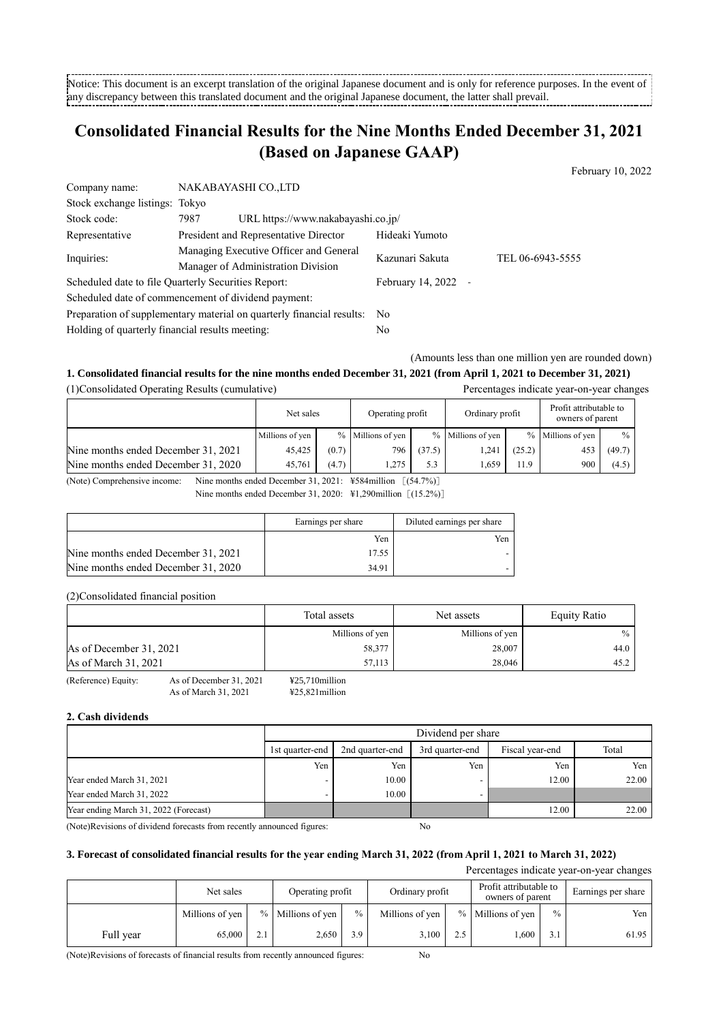-------------------------------Notice: This document is an excerpt translation of the original Japanese document and is only for reference purposes. In the event of any discrepancy between this translated document and the original Japanese document, the latter shall prevail.

# **Consolidated Financial Results for the Nine Months Ended December 31, 2021 (Based on Japanese GAAP)**

| Company name:                                       | NAKABAYASHI CO.,LTD                                                   |                   |                  |  |  |
|-----------------------------------------------------|-----------------------------------------------------------------------|-------------------|------------------|--|--|
| Stock exchange listings: Tokyo                      |                                                                       |                   |                  |  |  |
| Stock code:                                         | URL https://www.nakabayashi.co.jp/<br>7987                            |                   |                  |  |  |
| Representative                                      | President and Representative Director                                 | Hideaki Yumoto    |                  |  |  |
|                                                     | Managing Executive Officer and General                                | Kazunari Sakuta   | TEL 06-6943-5555 |  |  |
| Inquiries:                                          | Manager of Administration Division                                    |                   |                  |  |  |
| Scheduled date to file Quarterly Securities Report: |                                                                       | February 14, 2022 |                  |  |  |
|                                                     | Scheduled date of commencement of dividend payment:                   |                   |                  |  |  |
|                                                     | Preparation of supplementary material on quarterly financial results: | - No              |                  |  |  |
| Holding of quarterly financial results meeting:     |                                                                       | No                |                  |  |  |

(Amounts less than one million yen are rounded down)

February 10, 2022

## **1. Consolidated financial results for the nine months ended December 31, 2021 (from April 1, 2021 to December 31, 2021)**

(1)Consolidated Operating Results (cumulative) Percentages indicate year-on-year changes  $\Gamma$  Profit attributable to ┑

|                                     | Net sales       |       | Operating profit     |        | Ordinary profit   |        | Profit attributable to<br>owners of parent |        |
|-------------------------------------|-----------------|-------|----------------------|--------|-------------------|--------|--------------------------------------------|--------|
|                                     | Millions of yen |       | $\%$ Millions of yen |        | % Millions of yen |        | $\%$ Millions of yen                       | $\%$   |
| Nine months ended December 31, 2021 | 45.425          | (0.7) | 796                  | (37.5) | .241              | (25.2) | 453                                        | (49.7) |
| Nine months ended December 31, 2020 | 45.761          | (4.7) | .275                 | 5.3    | .659              | 11.9   | 900                                        | (4.5)  |

(Note) Comprehensive income: Nine months ended December 31, 2021: ¥584million [(54.7%)]

Nine months ended December 31, 2020: ¥1,290 million [(15.2%)]

|                                     | Earnings per share | Diluted earnings per share |
|-------------------------------------|--------------------|----------------------------|
|                                     | Yen                | Yen                        |
| Nine months ended December 31, 2021 | 17.55              |                            |
| Nine months ended December 31, 2020 | 34.91              |                            |

(2)Consolidated financial position

|                         |                         | Total assets      | Net assets      | Equity Ratio  |
|-------------------------|-------------------------|-------------------|-----------------|---------------|
|                         |                         | Millions of yen   | Millions of yen | $\frac{0}{0}$ |
| As of December 31, 2021 |                         | 58,377            | 28,007          | 44.0          |
| As of March 31, 2021    |                         | 57.113            | 28,046          | 45.2          |
| (Reference) Equity:     | As of December 31, 2021 | $425.710$ million |                 |               |

As of March 31, 2021 ¥25,821million

## **2. Cash dividends**

|                                       | Dividend per share |                 |                 |                 |       |  |
|---------------------------------------|--------------------|-----------------|-----------------|-----------------|-------|--|
|                                       | 1st quarter-end    | 2nd quarter-end | 3rd quarter-end | Fiscal year-end | Total |  |
|                                       | Yen                | Yen             | Yen             | Yen             | Yen   |  |
| Year ended March 31, 2021             |                    | 10.00           |                 | 12.00           | 22.00 |  |
| Year ended March 31, 2022             |                    | 10.00           |                 |                 |       |  |
| Year ending March 31, 2022 (Forecast) |                    |                 |                 | 12.00           | 22.00 |  |

(Note)Revisions of dividend forecasts from recently announced figures: No

## **3. Forecast of consolidated financial results for the year ending March 31, 2022 (from April 1, 2021 to March 31, 2022)**

Percentages indicate year-on-year changes

|           | Net sales       |           | Operating profit  |               | Ordinary profit |     | Profit attributable to<br>owners of parent |               | Earnings per share |
|-----------|-----------------|-----------|-------------------|---------------|-----------------|-----|--------------------------------------------|---------------|--------------------|
|           | Millions of yen |           | % Millions of yen | $\frac{0}{0}$ | Millions of yen |     | % Millions of yen                          | $\frac{0}{0}$ | Yen                |
| Full year | 65,000          | 21<br>4.1 | 2,650             | 3.9           | 3,100           | 2.5 | .600                                       | 3.1           | 61.95              |

(Note)Revisions of forecasts of financial results from recently announced figures: No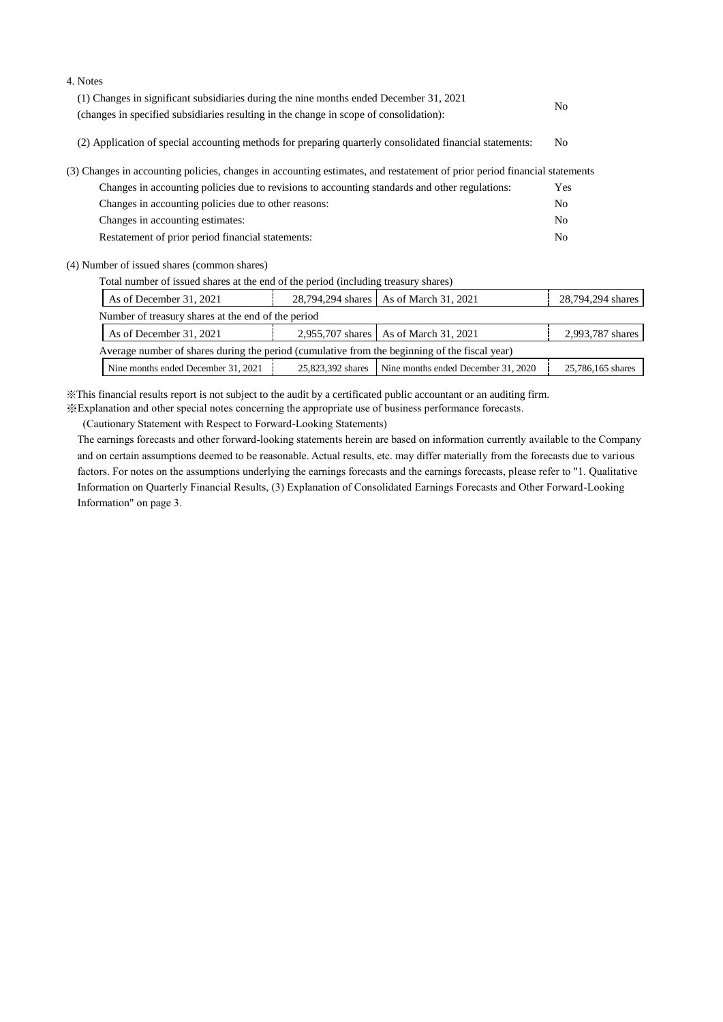| 7.11000                                                                                                                   |                |
|---------------------------------------------------------------------------------------------------------------------------|----------------|
| (1) Changes in significant subsidiaries during the nine months ended December 31, 2021                                    | N <sub>0</sub> |
| (changes in specified subsidiaries resulting in the change in scope of consolidation):                                    |                |
| (2) Application of special accounting methods for preparing quarterly consolidated financial statements:                  | N <sub>0</sub> |
| (3) Changes in accounting policies, changes in accounting estimates, and restatement of prior period financial statements |                |
| Changes in accounting policies due to revisions to accounting standards and other regulations:                            | Yes            |
| Changes in accounting policies due to other reasons:                                                                      | N <sub>0</sub> |
| Changes in accounting estimates:                                                                                          | No.            |
| Restatement of prior period financial statements:                                                                         | N <sub>0</sub> |
|                                                                                                                           |                |

(4) Number of issued shares (common shares)

4. Notes

| As of December 31, 2021                                                                       |                   | 28,794,294 shares   As of March 31, 2021 | 28,794,294 shares |  |  |
|-----------------------------------------------------------------------------------------------|-------------------|------------------------------------------|-------------------|--|--|
| Number of treasury shares at the end of the period                                            |                   |                                          |                   |  |  |
| As of December 31, 2021                                                                       |                   | 2,955,707 shares   As of March 31, 2021  | 2,993,787 shares  |  |  |
| Average number of shares during the period (cumulative from the beginning of the fiscal year) |                   |                                          |                   |  |  |
| Nine months ended December 31, 2021                                                           | 25,823,392 shares | Nine months ended December 31, 2020      | 25,786,165 shares |  |  |

※This financial results report is not subject to the audit by a certificated public accountant or an auditing firm.

※Explanation and other special notes concerning the appropriate use of business performance forecasts.

(Cautionary Statement with Respect to Forward-Looking Statements)

The earnings forecasts and other forward-looking statements herein are based on information currently available to the Company and on certain assumptions deemed to be reasonable. Actual results, etc. may differ materially from the forecasts due to various factors. For notes on the assumptions underlying the earnings forecasts and the earnings forecasts, please refer to "1. Qualitative Information on Quarterly Financial Results, (3) Explanation of Consolidated Earnings Forecasts and Other Forward-Looking Information" on page 3.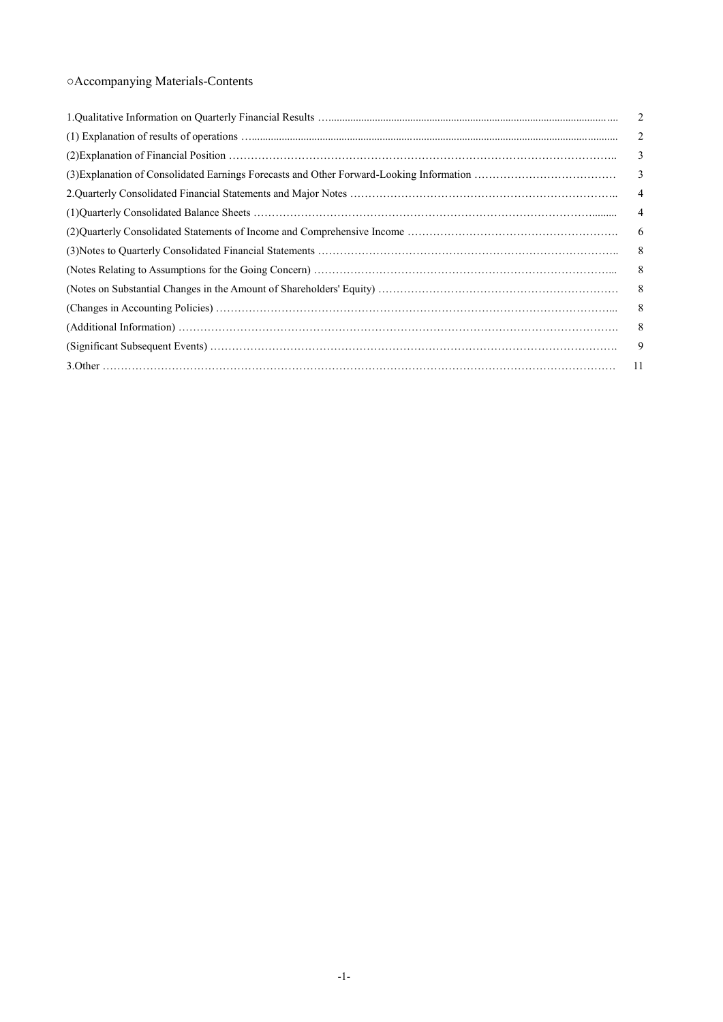## ○Accompanying Materials-Contents

| 2              |
|----------------|
| 2              |
| 3              |
| 3              |
| $\overline{4}$ |
| 4              |
| 6              |
| 8              |
| 8              |
| 8              |
| 8              |
| 8              |
| 9              |
| -11            |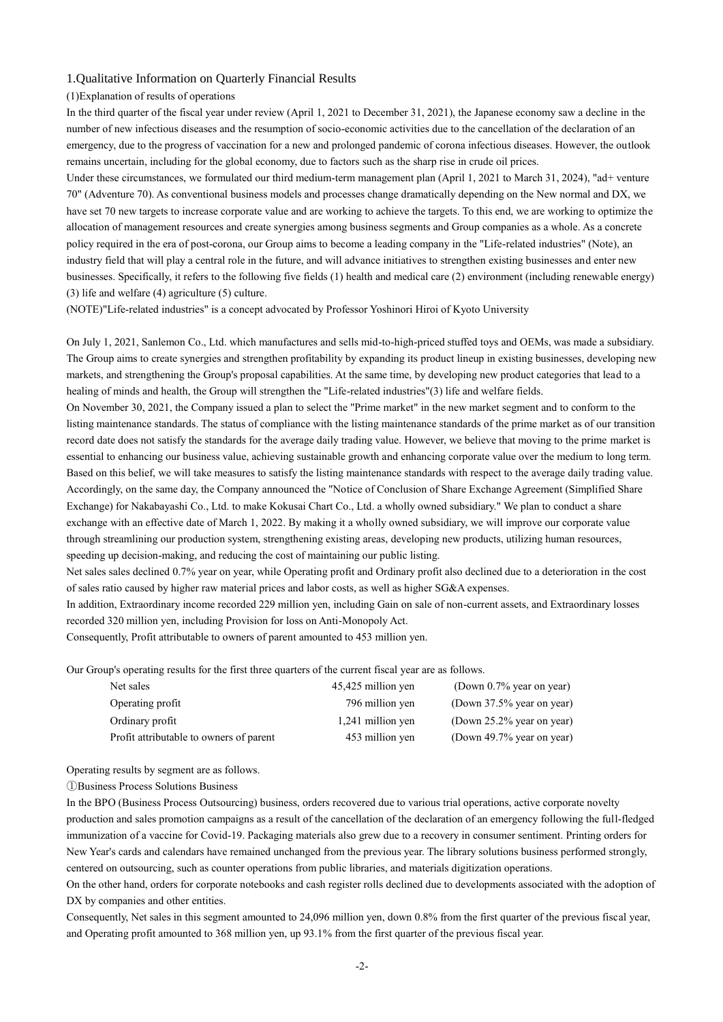## 1.Qualitative Information on Quarterly Financial Results

## (1)Explanation of results of operations

In the third quarter of the fiscal year under review (April 1, 2021 to December 31, 2021), the Japanese economy saw a decline in the number of new infectious diseases and the resumption of socio-economic activities due to the cancellation of the declaration of an emergency, due to the progress of vaccination for a new and prolonged pandemic of corona infectious diseases. However, the outlook remains uncertain, including for the global economy, due to factors such as the sharp rise in crude oil prices.

Under these circumstances, we formulated our third medium-term management plan (April 1, 2021 to March 31, 2024), "ad+ venture 70" (Adventure 70). As conventional business models and processes change dramatically depending on the New normal and DX, we have set 70 new targets to increase corporate value and are working to achieve the targets. To this end, we are working to optimize the allocation of management resources and create synergies among business segments and Group companies as a whole. As a concrete policy required in the era of post-corona, our Group aims to become a leading company in the "Life-related industries" (Note), an industry field that will play a central role in the future, and will advance initiatives to strengthen existing businesses and enter new businesses. Specifically, it refers to the following five fields (1) health and medical care (2) environment (including renewable energy) (3) life and welfare (4) agriculture (5) culture.

(NOTE)"Life-related industries" is a concept advocated by Professor Yoshinori Hiroi of Kyoto University

On July 1, 2021, Sanlemon Co., Ltd. which manufactures and sells mid-to-high-priced stuffed toys and OEMs, was made a subsidiary. The Group aims to create synergies and strengthen profitability by expanding its product lineup in existing businesses, developing new markets, and strengthening the Group's proposal capabilities. At the same time, by developing new product categories that lead to a healing of minds and health, the Group will strengthen the "Life-related industries"(3) life and welfare fields.

On November 30, 2021, the Company issued a plan to select the "Prime market" in the new market segment and to conform to the listing maintenance standards. The status of compliance with the listing maintenance standards of the prime market as of our transition record date does not satisfy the standards for the average daily trading value. However, we believe that moving to the prime market is essential to enhancing our business value, achieving sustainable growth and enhancing corporate value over the medium to long term. Based on this belief, we will take measures to satisfy the listing maintenance standards with respect to the average daily trading value. Accordingly, on the same day, the Company announced the "Notice of Conclusion of Share Exchange Agreement (Simplified Share Exchange) for Nakabayashi Co., Ltd. to make Kokusai Chart Co., Ltd. a wholly owned subsidiary." We plan to conduct a share exchange with an effective date of March 1, 2022. By making it a wholly owned subsidiary, we will improve our corporate value through streamlining our production system, strengthening existing areas, developing new products, utilizing human resources, speeding up decision-making, and reducing the cost of maintaining our public listing.

Net sales sales declined 0.7% year on year, while Operating profit and Ordinary profit also declined due to a deterioration in the cost of sales ratio caused by higher raw material prices and labor costs, as well as higher SG&A expenses.

In addition, Extraordinary income recorded 229 million yen, including Gain on sale of non-current assets, and Extraordinary losses recorded 320 million yen, including Provision for loss on Anti-Monopoly Act.

Consequently, Profit attributable to owners of parent amounted to 453 million yen.

Our Group's operating results for the first three quarters of the current fiscal year are as follows.

| Net sales                               | 45,425 million yen | (Down $0.7\%$ year on year) |
|-----------------------------------------|--------------------|-----------------------------|
| Operating profit                        | 796 million yen    | (Down 37.5% year on year)   |
| Ordinary profit                         | 1,241 million yen  | (Down 25.2% year on year)   |
| Profit attributable to owners of parent | 453 million yen    | (Down 49.7% year on year)   |

Operating results by segment are as follows.

①Business Process Solutions Business

In the BPO (Business Process Outsourcing) business, orders recovered due to various trial operations, active corporate novelty production and sales promotion campaigns as a result of the cancellation of the declaration of an emergency following the full-fledged immunization of a vaccine for Covid-19. Packaging materials also grew due to a recovery in consumer sentiment. Printing orders for New Year's cards and calendars have remained unchanged from the previous year. The library solutions business performed strongly, centered on outsourcing, such as counter operations from public libraries, and materials digitization operations.

On the other hand, orders for corporate notebooks and cash register rolls declined due to developments associated with the adoption of DX by companies and other entities.

Consequently, Net sales in this segment amounted to 24,096 million yen, down 0.8% from the first quarter of the previous fiscal year, and Operating profit amounted to 368 million yen, up 93.1% from the first quarter of the previous fiscal year.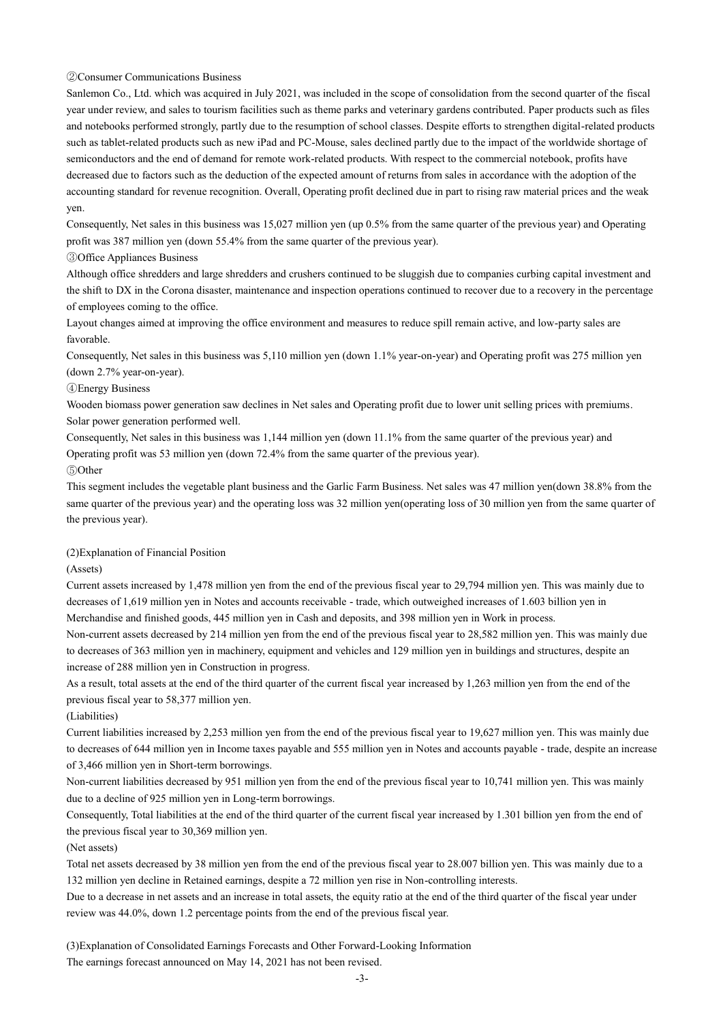②Consumer Communications Business

Sanlemon Co., Ltd. which was acquired in July 2021, was included in the scope of consolidation from the second quarter of the fiscal year under review, and sales to tourism facilities such as theme parks and veterinary gardens contributed. Paper products such as files and notebooks performed strongly, partly due to the resumption of school classes. Despite efforts to strengthen digital-related products such as tablet-related products such as new iPad and PC-Mouse, sales declined partly due to the impact of the worldwide shortage of semiconductors and the end of demand for remote work-related products. With respect to the commercial notebook, profits have decreased due to factors such as the deduction of the expected amount of returns from sales in accordance with the adoption of the accounting standard for revenue recognition. Overall, Operating profit declined due in part to rising raw material prices and the weak yen.

Consequently, Net sales in this business was 15,027 million yen (up 0.5% from the same quarter of the previous year) and Operating profit was 387 million yen (down 55.4% from the same quarter of the previous year).

③Office Appliances Business

Although office shredders and large shredders and crushers continued to be sluggish due to companies curbing capital investment and the shift to DX in the Corona disaster, maintenance and inspection operations continued to recover due to a recovery in the percentage of employees coming to the office.

Layout changes aimed at improving the office environment and measures to reduce spill remain active, and low-party sales are favorable.

Consequently, Net sales in this business was 5,110 million yen (down 1.1% year-on-year) and Operating profit was 275 million yen (down 2.7% year-on-year).

### ④Energy Business

Wooden biomass power generation saw declines in Net sales and Operating profit due to lower unit selling prices with premiums. Solar power generation performed well.

Consequently, Net sales in this business was 1,144 million yen (down 11.1% from the same quarter of the previous year) and Operating profit was 53 million yen (down 72.4% from the same quarter of the previous year).

### ⑤Other

This segment includes the vegetable plant business and the Garlic Farm Business. Net sales was 47 million yen(down 38.8% from the same quarter of the previous year) and the operating loss was 32 million yen(operating loss of 30 million yen from the same quarter of the previous year).

## (2)Explanation of Financial Position

(Assets)

Current assets increased by 1,478 million yen from the end of the previous fiscal year to 29,794 million yen. This was mainly due to decreases of 1,619 million yen in Notes and accounts receivable - trade, which outweighed increases of 1.603 billion yen in Merchandise and finished goods, 445 million yen in Cash and deposits, and 398 million yen in Work in process.

Non-current assets decreased by 214 million yen from the end of the previous fiscal year to 28,582 million yen. This was mainly due to decreases of 363 million yen in machinery, equipment and vehicles and 129 million yen in buildings and structures, despite an increase of 288 million yen in Construction in progress.

As a result, total assets at the end of the third quarter of the current fiscal year increased by 1,263 million yen from the end of the previous fiscal year to 58,377 million yen.

(Liabilities)

Current liabilities increased by 2,253 million yen from the end of the previous fiscal year to 19,627 million yen. This was mainly due to decreases of 644 million yen in Income taxes payable and 555 million yen in Notes and accounts payable - trade, despite an increase of 3,466 million yen in Short-term borrowings.

Non-current liabilities decreased by 951 million yen from the end of the previous fiscal year to 10,741 million yen. This was mainly due to a decline of 925 million yen in Long-term borrowings.

Consequently, Total liabilities at the end of the third quarter of the current fiscal year increased by 1.301 billion yen from the end of the previous fiscal year to 30,369 million yen.

(Net assets)

Total net assets decreased by 38 million yen from the end of the previous fiscal year to 28.007 billion yen. This was mainly due to a 132 million yen decline in Retained earnings, despite a 72 million yen rise in Non-controlling interests.

Due to a decrease in net assets and an increase in total assets, the equity ratio at the end of the third quarter of the fiscal year under review was 44.0%, down 1.2 percentage points from the end of the previous fiscal year.

(3)Explanation of Consolidated Earnings Forecasts and Other Forward-Looking Information

The earnings forecast announced on May 14, 2021 has not been revised.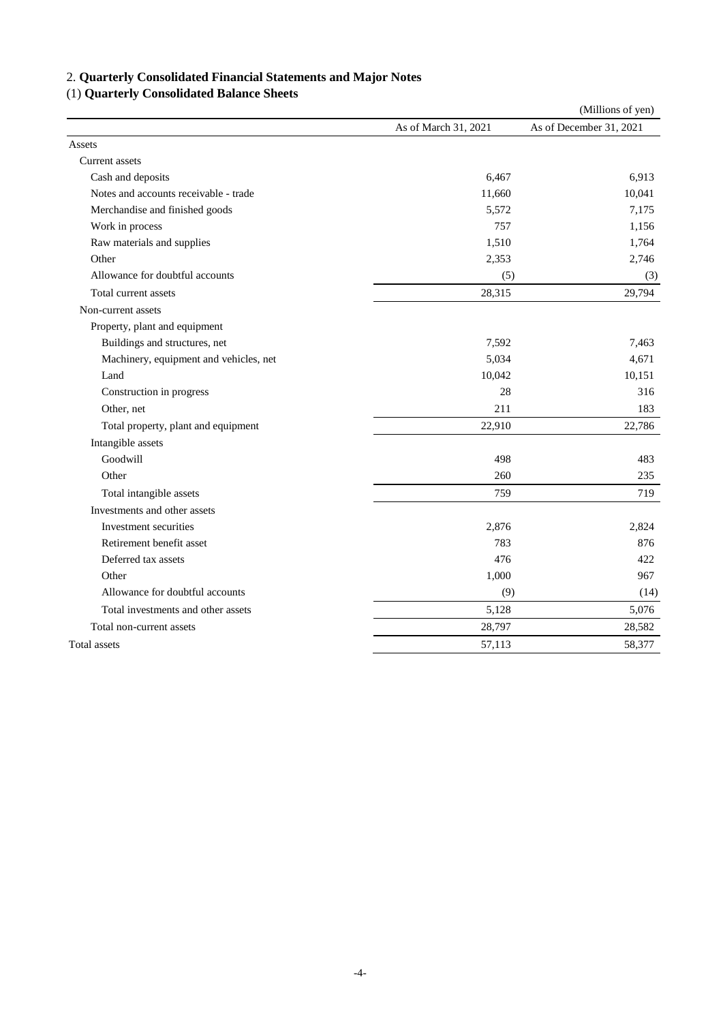# 2. **Quarterly Consolidated Financial Statements and Major Notes**

## (1) **Quarterly Consolidated Balance Sheets**

|                                        |                      | (Millions of yen)       |
|----------------------------------------|----------------------|-------------------------|
|                                        | As of March 31, 2021 | As of December 31, 2021 |
| Assets                                 |                      |                         |
| Current assets                         |                      |                         |
| Cash and deposits                      | 6,467                | 6,913                   |
| Notes and accounts receivable - trade  | 11,660               | 10,041                  |
| Merchandise and finished goods         | 5,572                | 7,175                   |
| Work in process                        | 757                  | 1,156                   |
| Raw materials and supplies             | 1,510                | 1,764                   |
| Other                                  | 2,353                | 2,746                   |
| Allowance for doubtful accounts        | (5)                  | (3)                     |
| Total current assets                   | 28,315               | 29,794                  |
| Non-current assets                     |                      |                         |
| Property, plant and equipment          |                      |                         |
| Buildings and structures, net          | 7,592                | 7,463                   |
| Machinery, equipment and vehicles, net | 5,034                | 4,671                   |
| Land                                   | 10,042               | 10,151                  |
| Construction in progress               | 28                   | 316                     |
| Other, net                             | 211                  | 183                     |
| Total property, plant and equipment    | 22,910               | 22,786                  |
| Intangible assets                      |                      |                         |
| Goodwill                               | 498                  | 483                     |
| Other                                  | 260                  | 235                     |
| Total intangible assets                | 759                  | 719                     |
| Investments and other assets           |                      |                         |
| Investment securities                  | 2,876                | 2,824                   |
| Retirement benefit asset               | 783                  | 876                     |
| Deferred tax assets                    | 476                  | 422                     |
| Other                                  | 1,000                | 967                     |
| Allowance for doubtful accounts        | (9)                  | (14)                    |
| Total investments and other assets     | 5,128                | 5,076                   |
| Total non-current assets               | 28,797               | 28,582                  |
| Total assets                           | 57,113               | 58,377                  |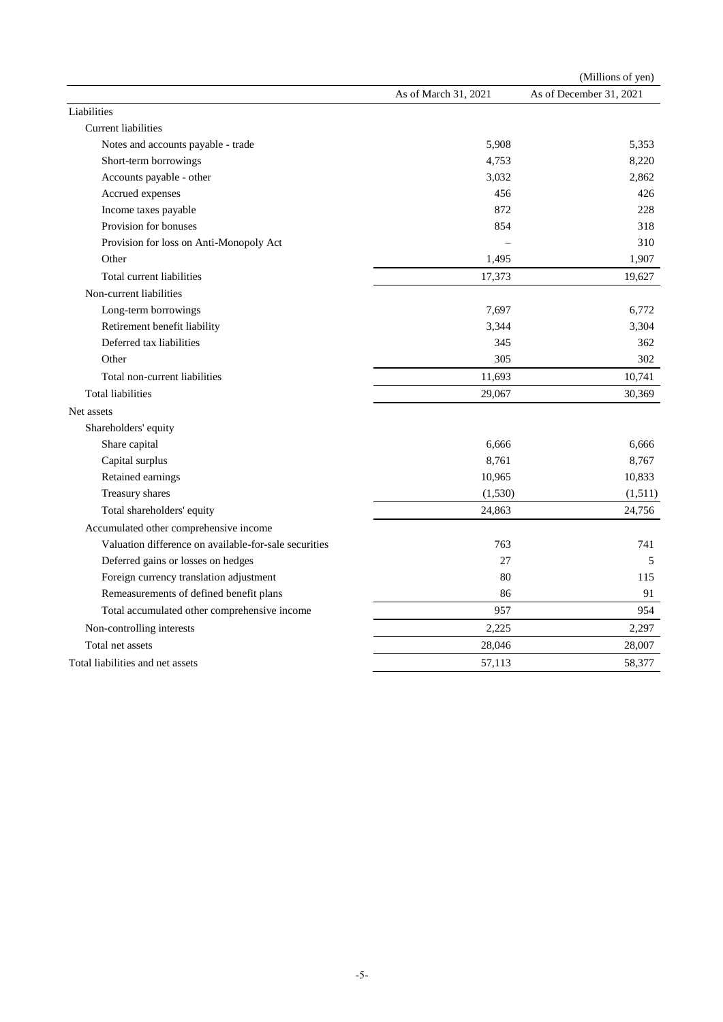|                                                       |                      | (Millions of yen)       |
|-------------------------------------------------------|----------------------|-------------------------|
|                                                       | As of March 31, 2021 | As of December 31, 2021 |
| Liabilities                                           |                      |                         |
| <b>Current liabilities</b>                            |                      |                         |
| Notes and accounts payable - trade                    | 5,908                | 5,353                   |
| Short-term borrowings                                 | 4,753                | 8,220                   |
| Accounts payable - other                              | 3,032                | 2,862                   |
| Accrued expenses                                      | 456                  | 426                     |
| Income taxes payable                                  | 872                  | 228                     |
| Provision for bonuses                                 | 854                  | 318                     |
| Provision for loss on Anti-Monopoly Act               |                      | 310                     |
| Other                                                 | 1,495                | 1,907                   |
| Total current liabilities                             | 17,373               | 19,627                  |
| Non-current liabilities                               |                      |                         |
| Long-term borrowings                                  | 7,697                | 6,772                   |
| Retirement benefit liability                          | 3,344                | 3,304                   |
| Deferred tax liabilities                              | 345                  | 362                     |
| Other                                                 | 305                  | 302                     |
| Total non-current liabilities                         | 11,693               | 10,741                  |
| <b>Total liabilities</b>                              | 29,067               | 30,369                  |
| Net assets                                            |                      |                         |
| Shareholders' equity                                  |                      |                         |
| Share capital                                         | 6,666                | 6.666                   |
| Capital surplus                                       | 8,761                | 8,767                   |
| Retained earnings                                     | 10,965               | 10,833                  |
| Treasury shares                                       | (1,530)              | (1,511)                 |
| Total shareholders' equity                            | 24,863               | 24,756                  |
| Accumulated other comprehensive income                |                      |                         |
| Valuation difference on available-for-sale securities | 763                  | 741                     |
| Deferred gains or losses on hedges                    | 27                   | 5                       |
| Foreign currency translation adjustment               | 80                   | 115                     |
| Remeasurements of defined benefit plans               | 86                   | 91                      |
| Total accumulated other comprehensive income          | 957                  | 954                     |
| Non-controlling interests                             | 2,225                | 2,297                   |
| Total net assets                                      | 28,046               | 28,007                  |
| Total liabilities and net assets                      | 57,113               | 58,377                  |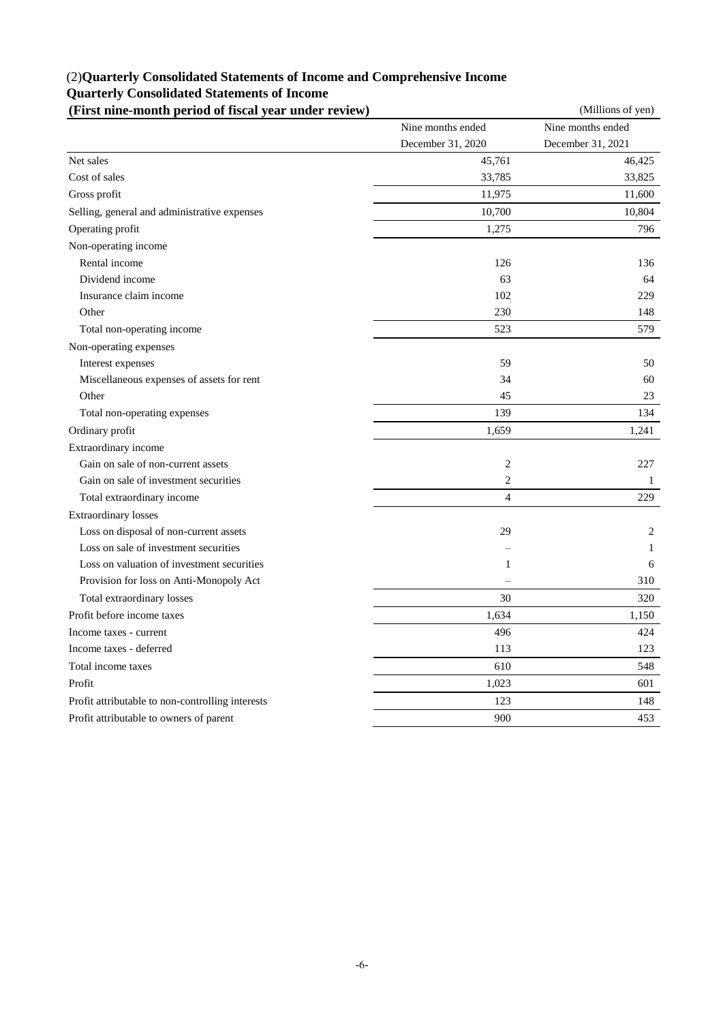## (2)**Quarterly Consolidated Statements of Income and Comprehensive Income Quarterly Consolidated Statements of Income**

| (First nine-month period of fiscal year under review) |                   | (Millions of yen) |
|-------------------------------------------------------|-------------------|-------------------|
|                                                       | Nine months ended | Nine months ended |
|                                                       | December 31, 2020 | December 31, 2021 |
| Net sales                                             | 45,761            | 46,425            |
| Cost of sales                                         | 33,785            | 33,825            |
| Gross profit                                          | 11,975            | 11,600            |
| Selling, general and administrative expenses          | 10,700            | 10,804            |
| Operating profit                                      | 1,275             | 796               |
| Non-operating income                                  |                   |                   |
| Rental income                                         | 126               | 136               |
| Dividend income                                       | 63                | 64                |
| Insurance claim income                                | 102               | 229               |
| Other                                                 | 230               | 148               |
| Total non-operating income                            | 523               | 579               |
| Non-operating expenses                                |                   |                   |
| Interest expenses                                     | 59                | 50                |
| Miscellaneous expenses of assets for rent             | 34                | 60                |
| Other                                                 | 45                | 23                |
| Total non-operating expenses                          | 139               | 134               |
| Ordinary profit                                       | 1,659             | 1,241             |
| Extraordinary income                                  |                   |                   |
| Gain on sale of non-current assets                    | $\overline{c}$    | 227               |
| Gain on sale of investment securities                 | $\overline{c}$    | 1                 |
| Total extraordinary income                            | $\overline{4}$    | 229               |
| <b>Extraordinary losses</b>                           |                   |                   |
| Loss on disposal of non-current assets                | 29                | 2                 |
| Loss on sale of investment securities                 |                   | 1                 |
| Loss on valuation of investment securities            | $\mathbf{1}$      | 6                 |
| Provision for loss on Anti-Monopoly Act               |                   | 310               |
| Total extraordinary losses                            | 30                | 320               |
| Profit before income taxes                            | 1,634             | 1,150             |
| Income taxes - current                                | 496               | 424               |
| Income taxes - deferred                               | 113               | 123               |
| Total income taxes                                    | 610               | 548               |
| Profit                                                | 1,023             | 601               |
| Profit attributable to non-controlling interests      | 123               | 148               |
| Profit attributable to owners of parent               | 900               | 453               |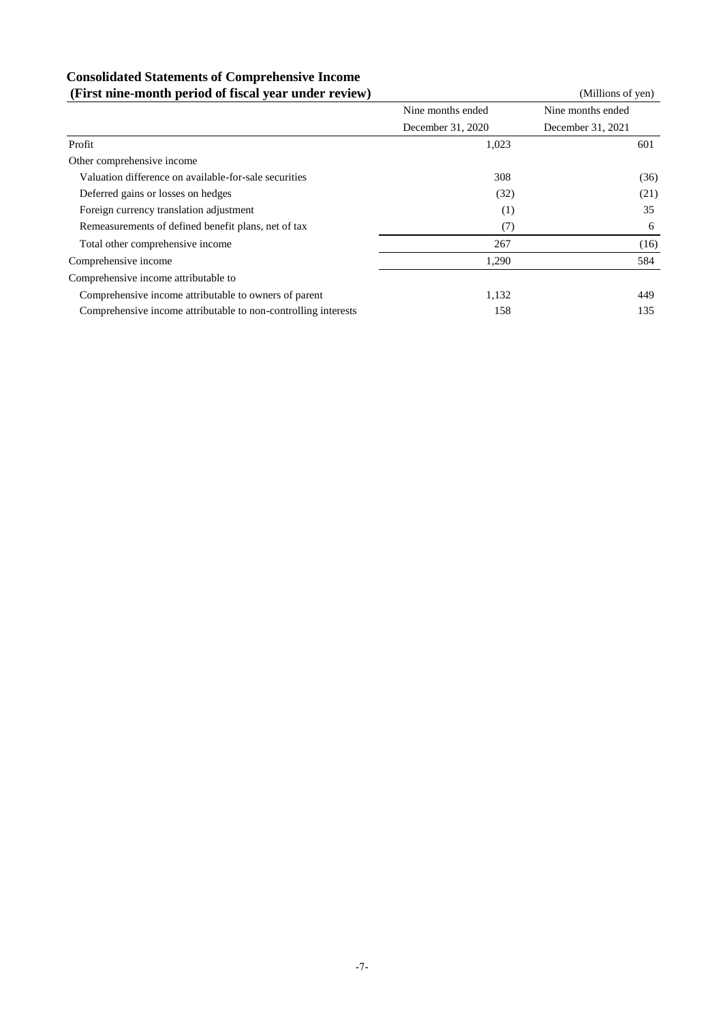## **Consolidated Statements of Comprehensive Income (First nine-month period of fiscal year under review)** (Millions of yen)

| $(1.15)$ there invited perfour of figure $(1.10)$ and $(1.10)$ |                   |                   |
|----------------------------------------------------------------|-------------------|-------------------|
|                                                                | Nine months ended | Nine months ended |
|                                                                | December 31, 2020 | December 31, 2021 |
| Profit                                                         | 1,023             | 601               |
| Other comprehensive income                                     |                   |                   |
| Valuation difference on available-for-sale securities          | 308               | (36)              |
| Deferred gains or losses on hedges                             | (32)              | (21)              |
| Foreign currency translation adjustment                        | (1)               | 35                |
| Remeasurements of defined benefit plans, net of tax            | (7)               | 6                 |
| Total other comprehensive income                               | 267               | (16)              |
| Comprehensive income                                           | 1,290             | 584               |
| Comprehensive income attributable to                           |                   |                   |
| Comprehensive income attributable to owners of parent          | 1,132             | 449               |
| Comprehensive income attributable to non-controlling interests | 158               | 135               |
|                                                                |                   |                   |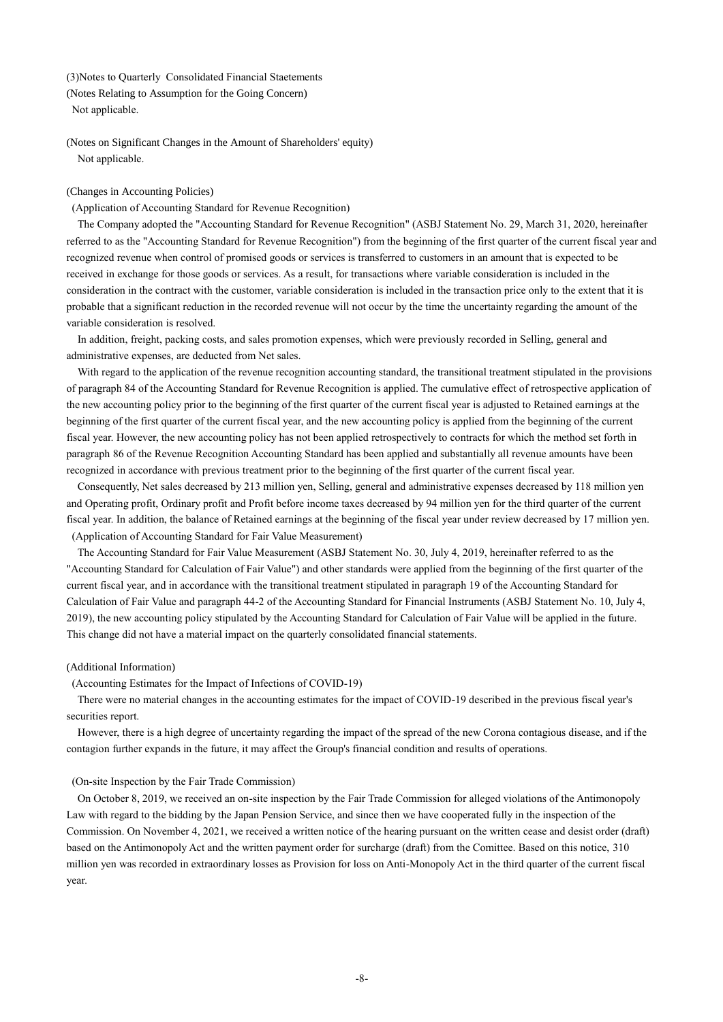#### (3)Notes to Quarterly Consolidated Financial Staetements

(Notes Relating to Assumption for the Going Concern) Not applicable.

(Notes on Significant Changes in the Amount of Shareholders' equity) Not applicable.

### (Changes in Accounting Policies)

(Application of Accounting Standard for Revenue Recognition)

The Company adopted the "Accounting Standard for Revenue Recognition" (ASBJ Statement No. 29, March 31, 2020, hereinafter referred to as the "Accounting Standard for Revenue Recognition") from the beginning of the first quarter of the current fiscal year and recognized revenue when control of promised goods or services is transferred to customers in an amount that is expected to be received in exchange for those goods or services. As a result, for transactions where variable consideration is included in the consideration in the contract with the customer, variable consideration is included in the transaction price only to the extent that it is probable that a significant reduction in the recorded revenue will not occur by the time the uncertainty regarding the amount of the variable consideration is resolved.

In addition, freight, packing costs, and sales promotion expenses, which were previously recorded in Selling, general and administrative expenses, are deducted from Net sales.

With regard to the application of the revenue recognition accounting standard, the transitional treatment stipulated in the provisions of paragraph 84 of the Accounting Standard for Revenue Recognition is applied. The cumulative effect of retrospective application of the new accounting policy prior to the beginning of the first quarter of the current fiscal year is adjusted to Retained earnings at the beginning of the first quarter of the current fiscal year, and the new accounting policy is applied from the beginning of the current fiscal year. However, the new accounting policy has not been applied retrospectively to contracts for which the method set forth in paragraph 86 of the Revenue Recognition Accounting Standard has been applied and substantially all revenue amounts have been recognized in accordance with previous treatment prior to the beginning of the first quarter of the current fiscal year.

Consequently, Net sales decreased by 213 million yen, Selling, general and administrative expenses decreased by 118 million yen and Operating profit, Ordinary profit and Profit before income taxes decreased by 94 million yen for the third quarter of the current fiscal year. In addition, the balance of Retained earnings at the beginning of the fiscal year under review decreased by 17 million yen. (Application of Accounting Standard for Fair Value Measurement)

The Accounting Standard for Fair Value Measurement (ASBJ Statement No. 30, July 4, 2019, hereinafter referred to as the "Accounting Standard for Calculation of Fair Value") and other standards were applied from the beginning of the first quarter of the current fiscal year, and in accordance with the transitional treatment stipulated in paragraph 19 of the Accounting Standard for Calculation of Fair Value and paragraph 44-2 of the Accounting Standard for Financial Instruments (ASBJ Statement No. 10, July 4, 2019), the new accounting policy stipulated by the Accounting Standard for Calculation of Fair Value will be applied in the future. This change did not have a material impact on the quarterly consolidated financial statements.

#### (Additional Information)

(Accounting Estimates for the Impact of Infections of COVID-19)

There were no material changes in the accounting estimates for the impact of COVID-19 described in the previous fiscal year's securities report.

However, there is a high degree of uncertainty regarding the impact of the spread of the new Corona contagious disease, and if the contagion further expands in the future, it may affect the Group's financial condition and results of operations.

#### (On-site Inspection by the Fair Trade Commission)

On October 8, 2019, we received an on-site inspection by the Fair Trade Commission for alleged violations of the Antimonopoly Law with regard to the bidding by the Japan Pension Service, and since then we have cooperated fully in the inspection of the Commission. On November 4, 2021, we received a written notice of the hearing pursuant on the written cease and desist order (draft) based on the Antimonopoly Act and the written payment order for surcharge (draft) from the Comittee. Based on this notice, 310 million yen was recorded in extraordinary losses as Provision for loss on Anti-Monopoly Act in the third quarter of the current fiscal year.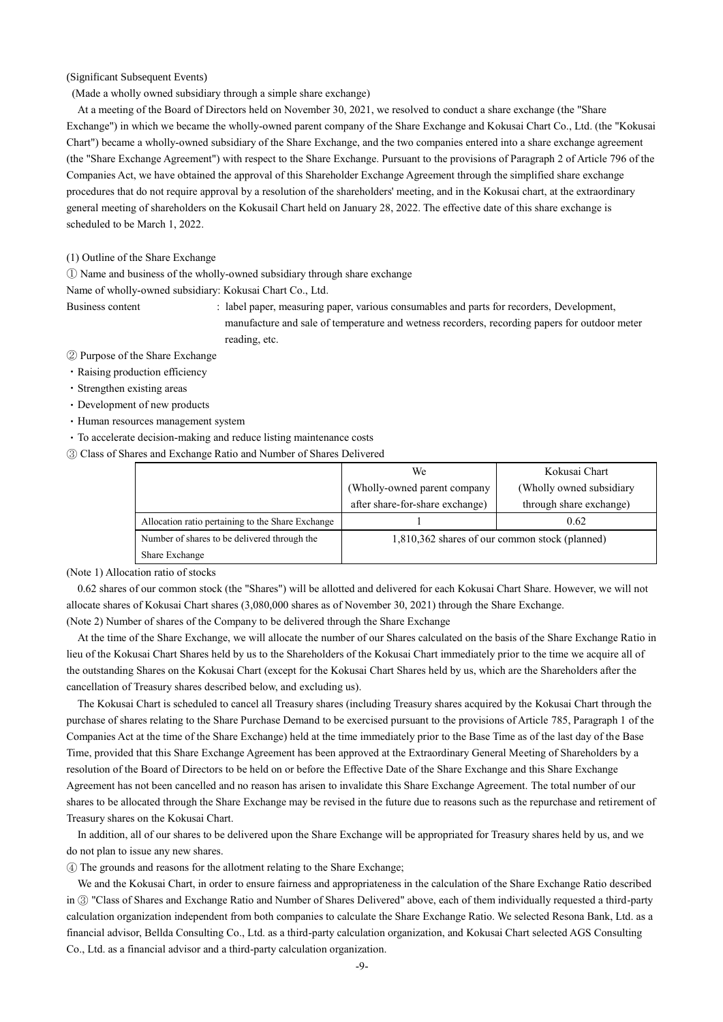(Significant Subsequent Events)

(Made a wholly owned subsidiary through a simple share exchange)

At a meeting of the Board of Directors held on November 30, 2021, we resolved to conduct a share exchange (the "Share Exchange") in which we became the wholly-owned parent company of the Share Exchange and Kokusai Chart Co., Ltd. (the "Kokusai Chart") became a wholly-owned subsidiary of the Share Exchange, and the two companies entered into a share exchange agreement (the "Share Exchange Agreement") with respect to the Share Exchange. Pursuant to the provisions of Paragraph 2 of Article 796 of the Companies Act, we have obtained the approval of this Shareholder Exchange Agreement through the simplified share exchange procedures that do not require approval by a resolution of the shareholders' meeting, and in the Kokusai chart, at the extraordinary general meeting of shareholders on the Kokusail Chart held on January 28, 2022. The effective date of this share exchange is scheduled to be March 1, 2022.

(1) Outline of the Share Exchange

① Name and business of the wholly-owned subsidiary through share exchange

Name of wholly-owned subsidiary: Kokusai Chart Co., Ltd.

Business content : label paper, measuring paper, various consumables and parts for recorders, Development, manufacture and sale of temperature and wetness recorders, recording papers for outdoor meter reading, etc.

② Purpose of the Share Exchange

- ・Raising production efficiency
- ・Strengthen existing areas
- ・Development of new products
- ・Human resources management system
- ・To accelerate decision-making and reduce listing maintenance costs
- ③ Class of Shares and Exchange Ratio and Number of Shares Delivered

|                                                   | We                                             | Kokusai Chart             |
|---------------------------------------------------|------------------------------------------------|---------------------------|
|                                                   | (Wholly-owned parent company                   | (Wholly owned subsidiary) |
|                                                   | after share-for-share exchange)                | through share exchange)   |
| Allocation ratio pertaining to the Share Exchange |                                                | 0.62                      |
| Number of shares to be delivered through the      | 1,810,362 shares of our common stock (planned) |                           |
| Share Exchange                                    |                                                |                           |

(Note 1) Allocation ratio of stocks

0.62 shares of our common stock (the "Shares") will be allotted and delivered for each Kokusai Chart Share. However, we will not allocate shares of Kokusai Chart shares (3,080,000 shares as of November 30, 2021) through the Share Exchange.

(Note 2) Number of shares of the Company to be delivered through the Share Exchange

At the time of the Share Exchange, we will allocate the number of our Shares calculated on the basis of the Share Exchange Ratio in lieu of the Kokusai Chart Shares held by us to the Shareholders of the Kokusai Chart immediately prior to the time we acquire all of the outstanding Shares on the Kokusai Chart (except for the Kokusai Chart Shares held by us, which are the Shareholders after the cancellation of Treasury shares described below, and excluding us).

The Kokusai Chart is scheduled to cancel all Treasury shares (including Treasury shares acquired by the Kokusai Chart through the purchase of shares relating to the Share Purchase Demand to be exercised pursuant to the provisions of Article 785, Paragraph 1 of the Companies Act at the time of the Share Exchange) held at the time immediately prior to the Base Time as of the last day of the Base Time, provided that this Share Exchange Agreement has been approved at the Extraordinary General Meeting of Shareholders by a resolution of the Board of Directors to be held on or before the Effective Date of the Share Exchange and this Share Exchange Agreement has not been cancelled and no reason has arisen to invalidate this Share Exchange Agreement. The total number of our shares to be allocated through the Share Exchange may be revised in the future due to reasons such as the repurchase and retirement of Treasury shares on the Kokusai Chart.

In addition, all of our shares to be delivered upon the Share Exchange will be appropriated for Treasury shares held by us, and we do not plan to issue any new shares.

④ The grounds and reasons for the allotment relating to the Share Exchange;

We and the Kokusai Chart, in order to ensure fairness and appropriateness in the calculation of the Share Exchange Ratio described in ③ "Class of Shares and Exchange Ratio and Number of Shares Delivered" above, each of them individually requested a third-party calculation organization independent from both companies to calculate the Share Exchange Ratio. We selected Resona Bank, Ltd. as a financial advisor, Bellda Consulting Co., Ltd. as a third-party calculation organization, and Kokusai Chart selected AGS Consulting Co., Ltd. as a financial advisor and a third-party calculation organization.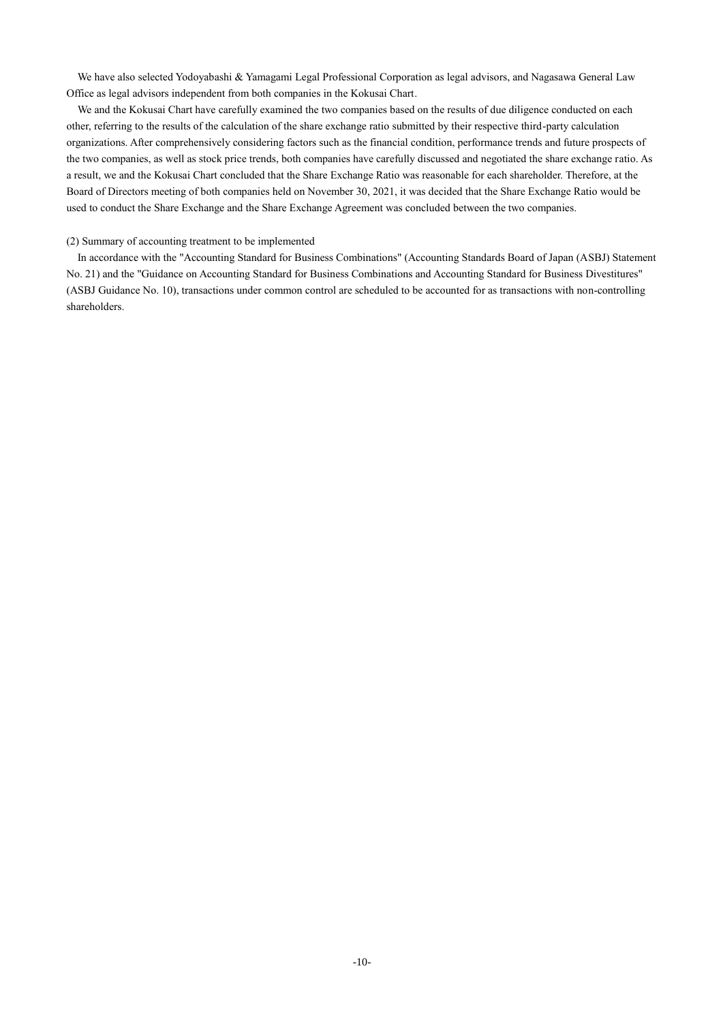We have also selected Yodoyabashi & Yamagami Legal Professional Corporation as legal advisors, and Nagasawa General Law Office as legal advisors independent from both companies in the Kokusai Chart.

We and the Kokusai Chart have carefully examined the two companies based on the results of due diligence conducted on each other, referring to the results of the calculation of the share exchange ratio submitted by their respective third-party calculation organizations. After comprehensively considering factors such as the financial condition, performance trends and future prospects of the two companies, as well as stock price trends, both companies have carefully discussed and negotiated the share exchange ratio. As a result, we and the Kokusai Chart concluded that the Share Exchange Ratio was reasonable for each shareholder. Therefore, at the Board of Directors meeting of both companies held on November 30, 2021, it was decided that the Share Exchange Ratio would be used to conduct the Share Exchange and the Share Exchange Agreement was concluded between the two companies.

#### (2) Summary of accounting treatment to be implemented

In accordance with the "Accounting Standard for Business Combinations" (Accounting Standards Board of Japan (ASBJ) Statement No. 21) and the "Guidance on Accounting Standard for Business Combinations and Accounting Standard for Business Divestitures" (ASBJ Guidance No. 10), transactions under common control are scheduled to be accounted for as transactions with non-controlling shareholders.